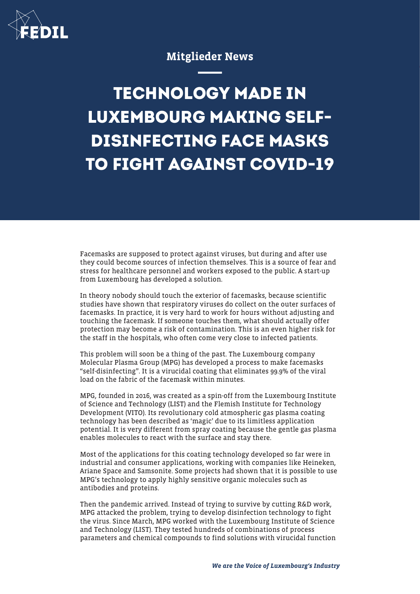

## Mitglieder News

## **TECHNOLOGY MADE IN LUXEMBOURG MAKING SELF-DISINFECTING FACE MASKS TO FIGHT AGAINST COVID-19**

Facemasks are supposed to protect against viruses, but during and after use they could become sources of infection themselves. This is a source of fear and stress for healthcare personnel and workers exposed to the public. A start-up from Luxembourg has developed a solution.

In theory nobody should touch the exterior of facemasks, because scientific studies have shown that respiratory viruses do collect on the outer surfaces of facemasks. In practice, it is very hard to work for hours without adjusting and touching the facemask. If someone touches them, what should actually offer protection may become a risk of contamination. This is an even higher risk for the staff in the hospitals, who often come very close to infected patients.

This problem will soon be a thing of the past. The Luxembourg company Molecular Plasma Group (MPG) has developed a process to make facemasks "self-disinfecting". It is a virucidal coating that eliminates 99.9% of the viral load on the fabric of the facemask within minutes.

MPG, founded in 2016, was created as a spin-off from the Luxembourg Institute of Science and Technology (LIST) and the Flemish Institute for Technology Development (VITO). Its revolutionary cold atmospheric gas plasma coating technology has been described as 'magic' due to its limitless application potential. It is very different from spray coating because the gentle gas plasma enables molecules to react with the surface and stay there.

Most of the applications for this coating technology developed so far were in industrial and consumer applications, working with companies like Heineken, Ariane Space and Samsonite. Some projects had shown that it is possible to use MPG's technology to apply highly sensitive organic molecules such as antibodies and proteins.

Then the pandemic arrived. Instead of trying to survive by cutting R&D work, MPG attacked the problem, trying to develop disinfection technology to fight the virus. Since March, MPG worked with the Luxembourg Institute of Science and Technology (LIST). They tested hundreds of combinations of process parameters and chemical compounds to find solutions with virucidal function